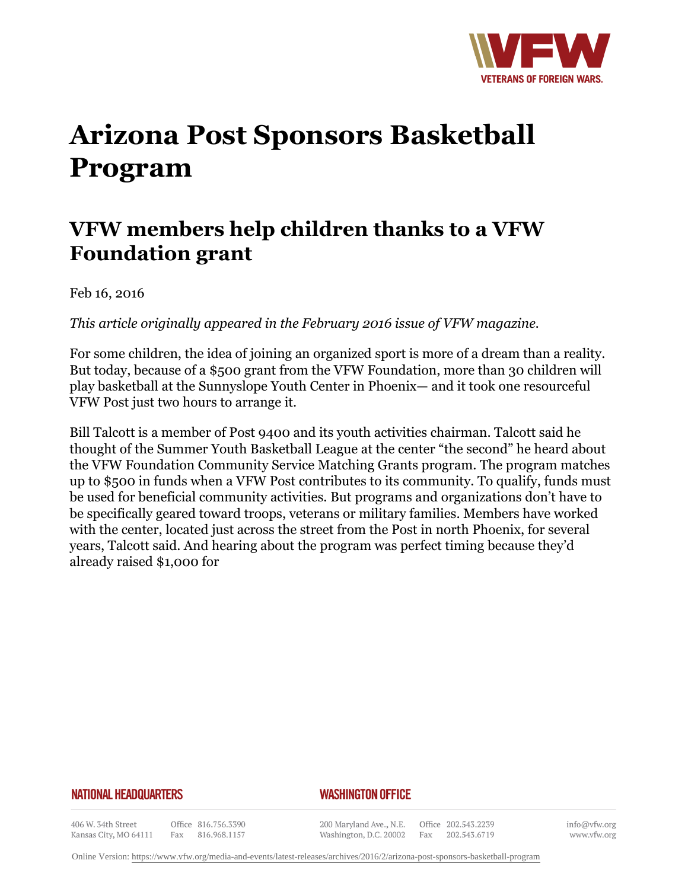

# **Arizona Post Sponsors Basketball Program**

# **VFW members help children thanks to a VFW Foundation grant**

Feb 16, 2016

*This article originally appeared in the February 2016 issue of VFW magazine.* 

For some children, the idea of joining an organized sport is more of a dream than a reality. But today, because of a \$500 grant from the VFW Foundation, more than 30 children will play basketball at the Sunnyslope Youth Center in Phoenix— and it took one resourceful VFW Post just two hours to arrange it.

Bill Talcott is a member of Post 9400 and its youth activities chairman. Talcott said he thought of the Summer Youth Basketball League at the center "the second" he heard about the VFW Foundation Community Service Matching Grants program. The program matches up to \$500 in funds when a VFW Post contributes to its community. To qualify, funds must be used for beneficial community activities. But programs and organizations don't have to be specifically geared toward troops, veterans or military families. Members have worked with the center, located just across the street from the Post in north Phoenix, for several years, Talcott said. And hearing about the program was perfect timing because they'd already raised \$1,000 for

#### **NATIONAL HEADQUARTERS**

### *WASHINGTON OFFICE*

406 W. 34th Street Kansas City, MO 64111

Office 816.756.3390 Fax 816.968.1157

200 Maryland Ave., N.E. Washington, D.C. 20002

Office 202.543.2239 Fax 202.543.6719

info@vfw.org www.vfw.org

Online Version:<https://www.vfw.org/media-and-events/latest-releases/archives/2016/2/arizona-post-sponsors-basketball-program>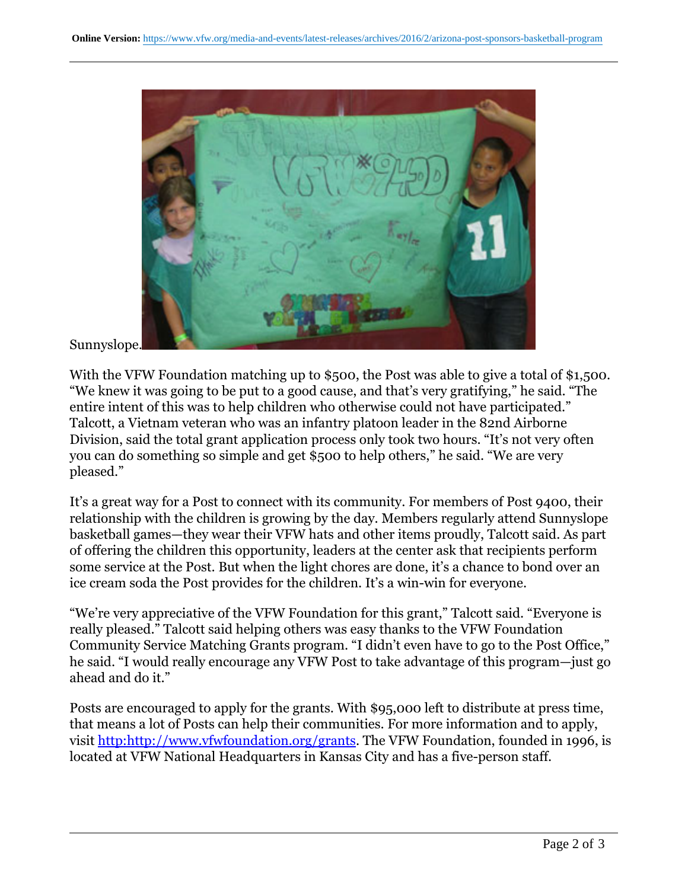

## Sunnyslope.

With the VFW Foundation matching up to \$500, the Post was able to give a total of \$1,500. "We knew it was going to be put to a good cause, and that's very gratifying," he said. "The entire intent of this was to help children who otherwise could not have participated." Talcott, a Vietnam veteran who was an infantry platoon leader in the 82nd Airborne Division, said the total grant application process only took two hours. "It's not very often you can do something so simple and get \$500 to help others," he said. "We are very pleased."

It's a great way for a Post to connect with its community. For members of Post 9400, their relationship with the children is growing by the day. Members regularly attend Sunnyslope basketball games—they wear their VFW hats and other items proudly, Talcott said. As part of offering the children this opportunity, leaders at the center ask that recipients perform some service at the Post. But when the light chores are done, it's a chance to bond over an ice cream soda the Post provides for the children. It's a win-win for everyone.

"We're very appreciative of the VFW Foundation for this grant," Talcott said. "Everyone is really pleased." Talcott said helping others was easy thanks to the VFW Foundation Community Service Matching Grants program. "I didn't even have to go to the Post Office," he said. "I would really encourage any VFW Post to take advantage of this program—just go ahead and do it."

Posts are encouraged to apply for the grants. With \$95,000 left to distribute at press time, that means a lot of Posts can help their communities. For more information and to apply, visit [http:http://www.vfwfoundation.org/grants.](http:http://www.vfwfoundation.org/grants) The VFW Foundation, founded in 1996, is located at VFW National Headquarters in Kansas City and has a five-person staff.